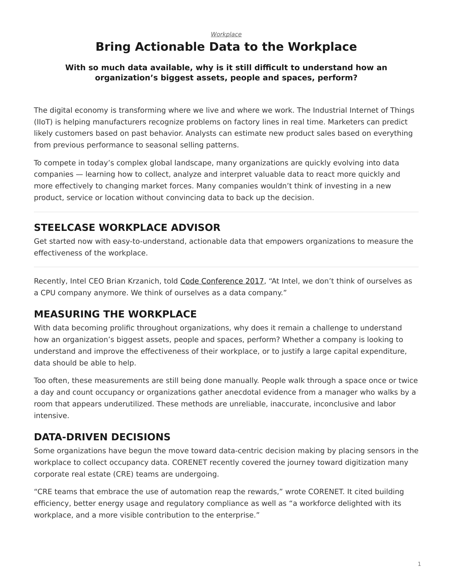#### <span id="page-0-0"></span>*[Workplace](https://www.steelcase.com/research/topics/workplace/)* **Bring Actionable Data to the Workplace**

#### **With so much data available, why is it still difficult to understand how an organization's biggest assets, people and spaces, perform?**

The digital economy is transforming where we live and where we work. The Industrial Internet of Things (IIoT) is helping manufacturers recognize problems on factory lines in real time. Marketers can predict likely customers based on past behavior. Analysts can estimate new product sales based on everything from previous performance to seasonal selling patterns.

To compete in today's complex global landscape, many organizations are quickly evolving into data companies — learning how to collect, analyze and interpret valuable data to react more quickly and more effectively to changing market forces. Many companies wouldn't think of investing in a new product, service or location without convincing data to back up the decision.

## **STEELCASE WORKPLACE ADVISOR**

Get started now with easy-to-understand, actionable data that empowers organizations to measure the effectiveness of the workplace.

Recently, Intel CEO Brian Krzanich, told [Code Conference 2017](https://www.vox.com/2017/6/2/15727220/intel-ceo-brian-krzanich-drones-chips-data-full-code-interview-video), "At Intel, we don't think of ourselves as a CPU company anymore. We think of ourselves as a data company."

# **MEASURING THE WORKPLACE**

With data becoming prolific throughout organizations, why does it remain a challenge to understand how an organization's biggest assets, people and spaces, perform? Whether a company is looking to understand and improve the effectiveness of their workplace, or to justify a large capital expenditure, data should be able to help.

Too often, these measurements are still being done manually. People walk through a space once or twice a day and count occupancy or organizations gather anecdotal evidence from a manager who walks by a room that appears underutilized. These methods are unreliable, inaccurate, inconclusive and labor intensive.

# **DATA-DRIVEN DECISIONS**

Some organizations have begun the move toward data-centric decision making by placing sensors in the workplace to collect occupancy data. CORENET recently covered the journey toward digitization many corporate real estate (CRE) teams are undergoing.

"CRE teams that embrace the use of automation reap the rewards," wrote CORENET. It cited building efficiency, better energy usage and regulatory compliance as well as "a workforce delighted with its workplace, and a more visible contribution to the enterprise."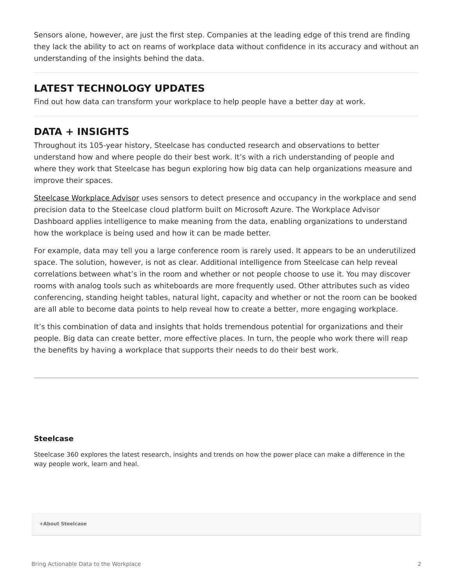Sensors alone, however, are just the first step. Companies at the leading edge of this trend are finding they lack the ability to act on reams of workplace data without confidence in its accuracy and without an understanding of the insights behind the data.

## **LATEST TECHNOLOGY UPDATES**

Find out how data can transform your workplace to help people have a better day at work.

### **DATA + INSIGHTS**

Throughout its 105-year history, Steelcase has conducted research and observations to better understand how and where people do their best work. It's with a rich understanding of people and where they work that Steelcase has begun exploring how big data can help organizations measure and improve their spaces.

[Steelcase Workplace Advisor](https://info.steelcase.com/workplace-advisor) uses sensors to detect presence and occupancy in the workplace and send precision data to the Steelcase cloud platform built on Microsoft Azure. The Workplace Advisor Dashboard applies intelligence to make meaning from the data, enabling organizations to understand how the workplace is being used and how it can be made better.

For example, data may tell you a large conference room is rarely used. It appears to be an underutilized space. The solution, however, is not as clear. Additional intelligence from Steelcase can help reveal correlations between what's in the room and whether or not people choose to use it. You may discover rooms with analog tools such as whiteboards are more frequently used. Other attributes such as video conferencing, standing height tables, natural light, capacity and whether or not the room can be booked are all able to become data points to help reveal how to create a better, more engaging workplace.

It's this combination of data and insights that holds tremendous potential for organizations and their people. Big data can create better, more effective places. In turn, the people who work there will reap the benefits by having a workplace that supports their needs to do their best work.

#### **[Steelcase](https://www.steelcase.com/research/articles/author/steelcase-360/)**

Steelcase 360 explores the latest research, insights and trends on how the power place can make a difference in the way people work, learn and heal.

**[+About Steelcase](https://www.steelcase.com/discover/steelcase/our-company/)**